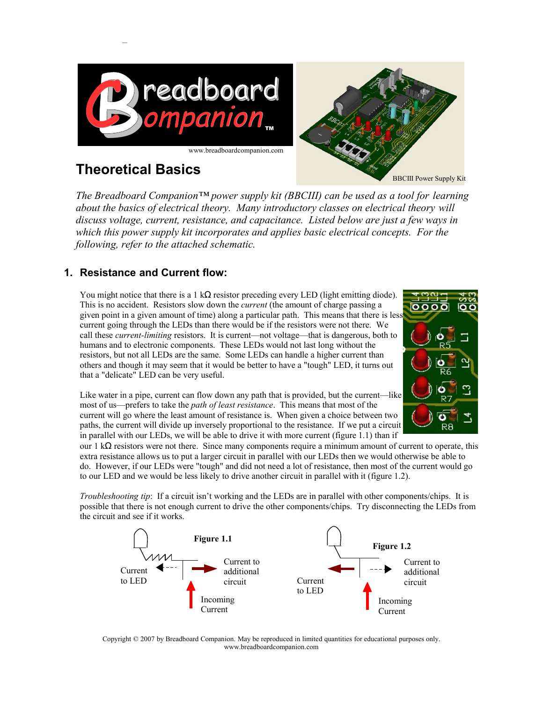



# **Theoretical Basics**

*The Breadboard Companion™ power supply kit (BBCIII) can be used as a tool for learning about the basics of electrical theory. Many introductory classes on electrical theory will discuss voltage, current, resistance, and capacitance. Listed below are just a few ways in which this power supply kit incorporates and applies basic electrical concepts. For the following, refer to the attached schematic.*

## **1. Resistance and Current flow:**

You might notice that there is a 1 k $\Omega$  resistor preceding every LED (light emitting diode). This is no accident. Resistors slow down the *current* (the amount of charge passing a given point in a given amount of time) along a particular path. This means that there is less current going through the LEDs than there would be if the resistors were not there. We call these *current-limiting* resistors. It is current—not voltage—that is dangerous, both to humans and to electronic components. These LEDs would not last long without the resistors, but not all LEDs are the same. Some LEDs can handle a higher current than others and though it may seem that it would be better to have a "tough" LED, it turns out that a "delicate" LED can be very useful.



Like water in a pipe, current can flow down any path that is provided, but the current—like most of us—prefers to take the *path of least resistance*. This means that most of the current will go where the least amount of resistance is. When given a choice between two paths, the current will divide up inversely proportional to the resistance. If we put a circuit in parallel with our LEDs, we will be able to drive it with more current (figure 1.1) than if

our 1 kΩ resistors were not there. Since many components require a minimum amount of current to operate, this extra resistance allows us to put a larger circuit in parallel with our LEDs then we would otherwise be able to do. However, if our LEDs were "tough" and did not need a lot of resistance, then most of the current would go to our LED and we would be less likely to drive another circuit in parallel with it (figure 1.2).

*Troubleshooting tip*: If a circuit isn't working and the LEDs are in parallel with other components/chips. It is possible that there is not enough current to drive the other components/chips. Try disconnecting the LEDs from the circuit and see if it works.



[Copyright © 2007 by Breadboard Companion. May be reproduced in limited quantities for educational purposes only.](file:///C:/Documents and Settings/John III/Desktop/bbc/documents/Product Documents/www.breadboardcompanion.com) [www.breadboardcompanion.com](file:///C:/Documents and Settings/John III/Desktop/bbc/documents/Product Documents/www.breadboardcompanion.com)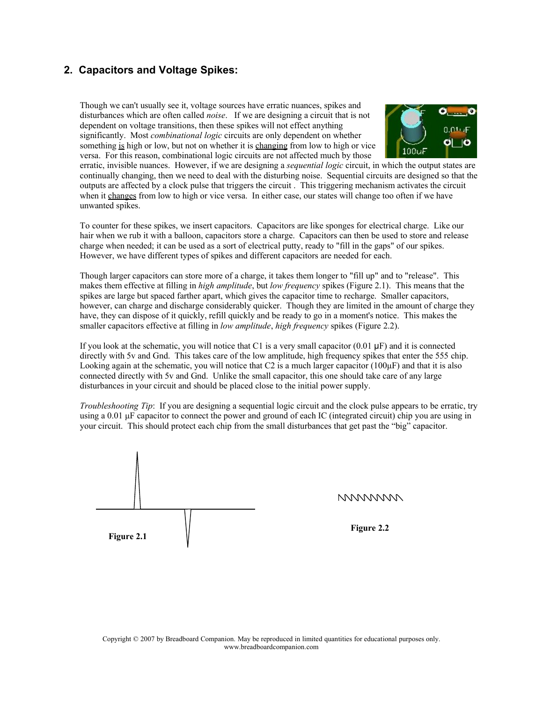### **2. Capacitors and Voltage Spikes:**

Though we can't usually see it, voltage sources have erratic nuances, spikes and disturbances which are often called *noise*. If we are designing a circuit that is not dependent on voltage transitions, then these spikes will not effect anything significantly. Most *combinational logic* circuits are only dependent on whether something is high or low, but not on whether it is changing from low to high or vice versa. For this reason, combinational logic circuits are not affected much by those



erratic, invisible nuances. However, if we are designing a *sequential logic* circuit, in which the output states are continually changing, then we need to deal with the disturbing noise. Sequential circuits are designed so that the outputs are affected by a clock pulse that triggers the circuit . This triggering mechanism activates the circuit when it changes from low to high or vice versa. In either case, our states will change too often if we have unwanted spikes.

To counter for these spikes, we insert capacitors. Capacitors are like sponges for electrical charge. Like our hair when we rub it with a balloon, capacitors store a charge. Capacitors can then be used to store and release charge when needed; it can be used as a sort of electrical putty, ready to "fill in the gaps" of our spikes. However, we have different types of spikes and different capacitors are needed for each.

Though larger capacitors can store more of a charge, it takes them longer to "fill up" and to "release". This makes them effective at filling in *high amplitude*, but *low frequency* spikes (Figure 2.1). This means that the spikes are large but spaced farther apart, which gives the capacitor time to recharge. Smaller capacitors, however, can charge and discharge considerably quicker. Though they are limited in the amount of charge they have, they can dispose of it quickly, refill quickly and be ready to go in a moment's notice. This makes the smaller capacitors effective at filling in *low amplitude*, *high frequency* spikes (Figure 2.2).

If you look at the schematic, you will notice that C1 is a very small capacitor  $(0.01 \text{ }\mu\text{F})$  and it is connected directly with 5v and Gnd. This takes care of the low amplitude, high frequency spikes that enter the 555 chip. Looking again at the schematic, you will notice that C2 is a much larger capacitor (100μF) and that it is also connected directly with 5v and Gnd. Unlike the small capacitor, this one should take care of any large disturbances in your circuit and should be placed close to the initial power supply.

*Troubleshooting Tip*: If you are designing a sequential logic circuit and the clock pulse appears to be erratic, try using a 0.01 μF capacitor to connect the power and ground of each IC (integrated circuit) chip you are using in your circuit. This should protect each chip from the small disturbances that get past the "big" capacitor.

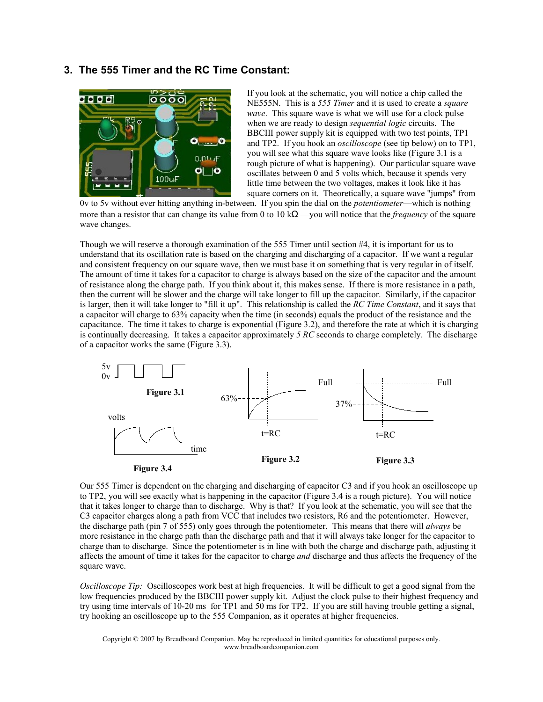#### **3. The 555 Timer and the RC Time Constant:**



If you look at the schematic, you will notice a chip called the NE555N. This is a *555 Timer* and it is used to create a *square wave*. This square wave is what we will use for a clock pulse when we are ready to design *sequential logic* circuits. The BBCIII power supply kit is equipped with two test points, TP1 and TP2. If you hook an *oscilloscope* (see tip below) on to TP1, you will see what this square wave looks like (Figure 3.1 is a rough picture of what is happening). Our particular square wave oscillates between 0 and 5 volts which, because it spends very little time between the two voltages, makes it look like it has square corners on it. Theoretically, a square wave "jumps" from

0v to 5v without ever hitting anything in-between. If you spin the dial on the *potentiometer*—which is nothing more than a resistor that can change its value from 0 to 10 kΩ —you will notice that the *frequency* of the square wave changes.

Though we will reserve a thorough examination of the 555 Timer until section #4, it is important for us to understand that its oscillation rate is based on the charging and discharging of a capacitor. If we want a regular and consistent frequency on our square wave, then we must base it on something that is very regular in of itself. The amount of time it takes for a capacitor to charge is always based on the size of the capacitor and the amount of resistance along the charge path. If you think about it, this makes sense. If there is more resistance in a path, then the current will be slower and the charge will take longer to fill up the capacitor. Similarly, if the capacitor is larger, then it will take longer to "fill it up". This relationship is called the *RC Time Constant*, and it says that a capacitor will charge to 63% capacity when the time (in seconds) equals the product of the resistance and the capacitance. The time it takes to charge is exponential (Figure 3.2), and therefore the rate at which it is charging is continually decreasing. It takes a capacitor approximately *5 RC* seconds to charge completely. The discharge of a capacitor works the same (Figure 3.3).



Our 555 Timer is dependent on the charging and discharging of capacitor C3 and if you hook an oscilloscope up to TP2, you will see exactly what is happening in the capacitor (Figure 3.4 is a rough picture). You will notice that it takes longer to charge than to discharge. Why is that? If you look at the schematic, you will see that the C3 capacitor charges along a path from VCC that includes two resistors, R6 and the potentiometer. However, the discharge path (pin 7 of 555) only goes through the potentiometer. This means that there will *always* be more resistance in the charge path than the discharge path and that it will always take longer for the capacitor to charge than to discharge. Since the potentiometer is in line with both the charge and discharge path, adjusting it affects the amount of time it takes for the capacitor to charge *and* discharge and thus affects the frequency of the square wave.

*Oscilloscope Tip:* Oscilloscopes work best at high frequencies. It will be difficult to get a good signal from the low frequencies produced by the BBCIII power supply kit. Adjust the clock pulse to their highest frequency and try using time intervals of 10-20 ms for TP1 and 50 ms for TP2. If you are still having trouble getting a signal, try hooking an oscilloscope up to the 555 Companion, as it operates at higher frequencies.